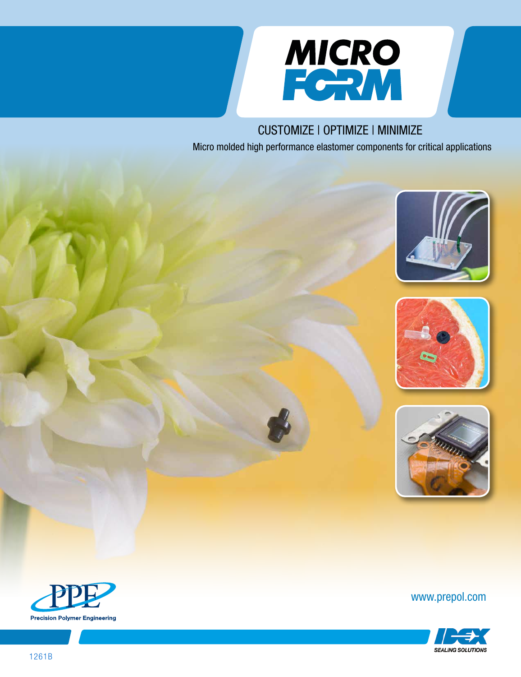

# CUSTOMIZE | OPTIMIZE | MINIMIZE

Micro molded high performance elastomer components for critical applications







www.prepol.com



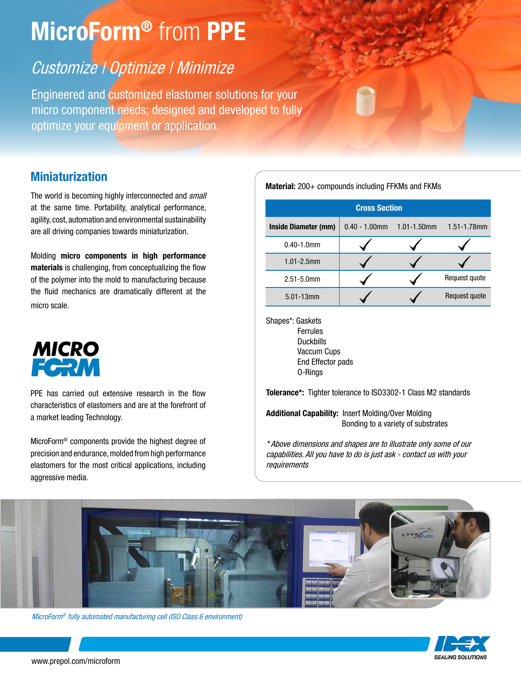# MicroForm<sup>®</sup> from PPE

# Customize | Optimize | Minimize

Engineered and customized elastomer solutions for your micro component needs; designed and developed to fully optimize your equipment or application.

### Miniaturization

The world is becoming highly interconnected and small at the same time. Portability, analytical performance, agility, cost, automation and environmental sustainability are all driving companies towards miniaturization.

Molding micro components in high performance materials is challenging, from conceptualizing the flow of the polymer into the mold to manufacturing because the fluid mechanics are dramatically different at the micro scale.



PPE has carried out extensive research in the flow characteristics of elastomers and are at the forefront of a market leading Technology.

MicroForm® components provide the highest degree of precision and endurance, molded from high performance elastomers for the most critical applications, including aggressive media.

Material: 200+ compounds including FFKMs and FKMs

| <b>Cross Section</b> |                  |                  |                  |
|----------------------|------------------|------------------|------------------|
| Inside Diameter (mm) | $0.40 - 1.00$ mm | $1.01 - 1.50$ mm | $1.51 - 1.78$ mm |
| $0.40 - 1.0$ mm      |                  |                  |                  |
| $1.01 - 2.5$ mm      |                  |                  |                  |
| 2.51-5.0mm           |                  |                  | Request quote    |
| $5.01 - 13$ mm       |                  |                  | Request quote    |

Shapes\*: Gaskets Ferrules Duckbills Vaccum Cups End Effector pads O-Rings

Tolerance\*: Tighter tolerance to ISO3302-1 Class M2 standards

Additional Capability: Insert Molding/Over Molding Bonding to a variety of substrates

\* Above dimensions and shapes are to illustrate only some of our capabilities. All you have to do is just ask - contact us with your requirements



MicroForm® fully automated manufacturing cell (ISO Class 6 environment)

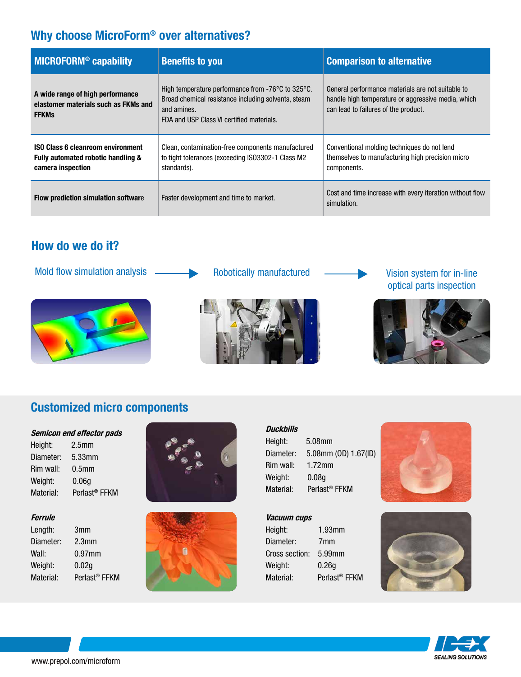# Why choose MicroForm® over alternatives?

| MICROFORM <sup>®</sup> capability                                                                   | <b>Benefits to you</b>                                                                                                                                                                    | <b>Comparison to alternative</b>                                                                                                                |
|-----------------------------------------------------------------------------------------------------|-------------------------------------------------------------------------------------------------------------------------------------------------------------------------------------------|-------------------------------------------------------------------------------------------------------------------------------------------------|
| A wide range of high performance<br>elastomer materials such as FKMs and<br><b>FFKMs</b>            | High temperature performance from $-76^{\circ}$ C to 325 $^{\circ}$ C.<br>Broad chemical resistance including solvents, steam<br>and amines.<br>FDA and USP Class VI certified materials. | General performance materials are not suitable to<br>handle high temperature or aggressive media, which<br>can lead to failures of the product. |
| <b>ISO Class 6 cleanroom environment</b><br>Fully automated robotic handling &<br>camera inspection | Clean, contamination-free components manufactured<br>to tight tolerances (exceeding ISO3302-1 Class M2<br>standards).                                                                     | Conventional molding techniques do not lend<br>themselves to manufacturing high precision micro<br>components.                                  |
| Flow prediction simulation software                                                                 | Faster development and time to market.                                                                                                                                                    | Cost and time increase with every iteration without flow<br>simulation.                                                                         |

## How do we do it?

Mold flow simulation analysis Robotically manufactured Vision system for in-line





# optical parts inspection



# Customized micro components

#### Semicon end effector pads

| Height:   | 2.5 <sub>mm</sub>         |
|-----------|---------------------------|
| Diameter: | 5.33mm                    |
| Rim wall: | 0.5 <sub>mm</sub>         |
| Weight:   | 0.06 <sub>g</sub>         |
| Material: | Perlast <sup>®</sup> FFKM |
|           |                           |

#### Ferrule

| Length:   | 3mm                       |
|-----------|---------------------------|
| Diameter: | 2.3 <sub>mm</sub>         |
| Wall:     | $0.97$ mm                 |
| Weight:   | 0.02 <sub>g</sub>         |
| Material: | Perlast <sup>®</sup> FFKM |
|           |                           |





| <b>Duckbills</b> |                           |
|------------------|---------------------------|
| Height:          | 5.08mm                    |
| Diameter:        | 5.08mm (OD) 1.67(ID)      |
| Rim wall:        | $1.72$ mm                 |
| Weight:          | 0.08 <sub>g</sub>         |
| Material:        | Perlast <sup>®</sup> FFKM |

#### Vacuum cups

| $1.93$ mm                 |
|---------------------------|
| 7mm                       |
| 5.99mm                    |
| 0.26g                     |
| Perlast <sup>®</sup> FFKM |
|                           |





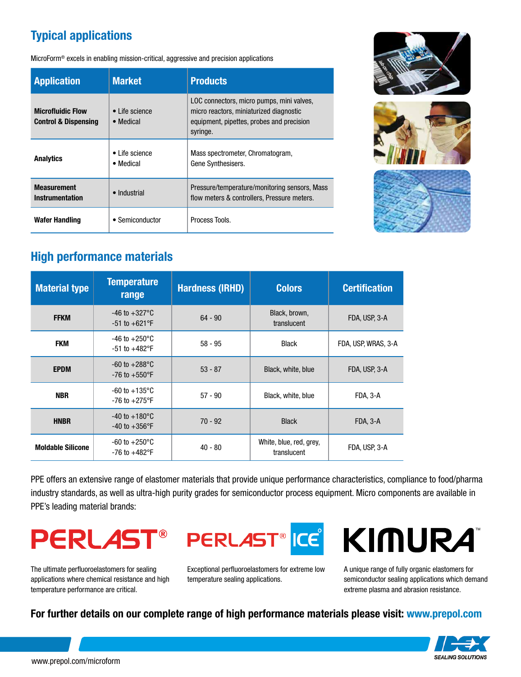# Typical applications

MicroForm® excels in enabling mission-critical, aggressive and precision applications

| <b>Application</b>                                          | <b>Market</b>                        | <b>Products</b>                                                                                                                               |  |
|-------------------------------------------------------------|--------------------------------------|-----------------------------------------------------------------------------------------------------------------------------------------------|--|
| <b>Microfluidic Flow</b><br><b>Control &amp; Dispensing</b> | $\bullet$ Life science<br>• Medical  | LOC connectors, micro pumps, mini valves,<br>micro reactors, miniaturized diagnostic<br>equipment, pipettes, probes and precision<br>syringe. |  |
| <b>Analytics</b>                                            | $\bullet$ I ife science<br>• Medical | Mass spectrometer, Chromatogram,<br>Gene Synthesisers.                                                                                        |  |
| <b>Measurement</b><br>• Industrial<br>Instrumentation       |                                      | Pressure/temperature/monitoring sensors, Mass<br>flow meters & controllers, Pressure meters.                                                  |  |
| <b>Wafer Handling</b>                                       | • Semiconductor                      | Process Tools.                                                                                                                                |  |







## High performance materials

| <b>Material type</b>     | <b>Temperature</b><br>range                            | <b>Hardness (IRHD)</b> | <b>Colors</b>                          | <b>Certification</b> |
|--------------------------|--------------------------------------------------------|------------------------|----------------------------------------|----------------------|
| <b>FFKM</b>              | $-46$ to $+327$ °C<br>$-51$ to $+621$ °F               | $64 - 90$              | Black, brown,<br>translucent           | FDA, USP, 3-A        |
| <b>FKM</b>               | $-46$ to $+250^{\circ}$ C<br>$-51$ to $+482$ °F        | $58 - 95$              | <b>Black</b>                           | FDA, USP, WRAS, 3-A  |
| <b>EPDM</b>              | $-60$ to $+288^{\circ}$ C<br>$-76$ to $+550$ °F        | $53 - 87$              | Black, white, blue                     | FDA, USP, 3-A        |
| <b>NBR</b>               | $-60$ to $+135^{\circ}$ C<br>$-76$ to $+275^{\circ}$ F | $57 - 90$              | Black, white, blue                     | FDA, 3-A             |
| <b>HNBR</b>              | $-40$ to $+180^{\circ}$ C<br>$-40$ to $+356$ °F        | $70 - 92$              | <b>Black</b>                           | FDA, 3-A             |
| <b>Moldable Silicone</b> | $-60$ to $+250^{\circ}$ C<br>$-76$ to $+482^{\circ}$ F | $40 - 80$              | White, blue, red, grey,<br>translucent | FDA, USP, 3-A        |

PPE offers an extensive range of elastomer materials that provide unique performance characteristics, compliance to food/pharma industry standards, as well as ultra-high purity grades for semiconductor process equipment. Micro components are available in PPE's leading material brands:

# **PERLAS**

The ultimate perfluoroelastomers for sealing applications where chemical resistance and high temperature performance are critical.



Exceptional perfluoroelastomers for extreme low temperature sealing applications.

# KIMURA

A unique range of fully organic elastomers for semiconductor sealing applications which demand extreme plasma and abrasion resistance.

#### For further details on our complete range of high performance materials please visit: www.prepol.com

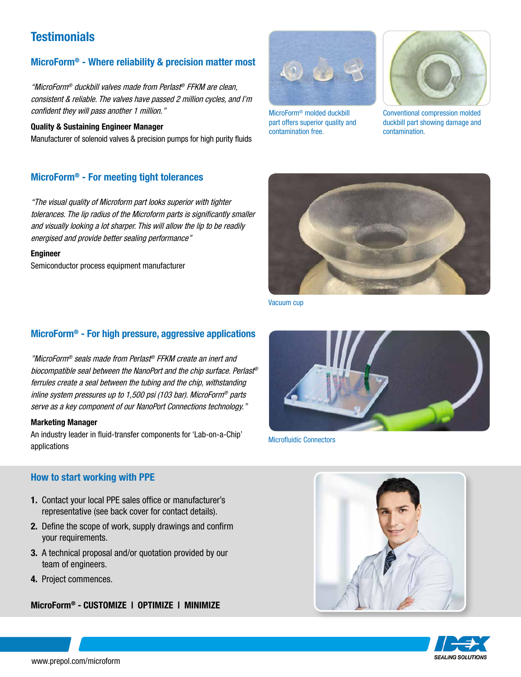## **Testimonials**

#### MicroForm® - Where reliability & precision matter most

"MicroForm® duckbill valves made from Perlast® FFKM are clean, consistent & reliable. The valves have passed 2 million cycles, and I'm confident they will pass another 1 million."

#### Quality & Sustaining Engineer Manager

Manufacturer of solenoid valves & precision pumps for high purity fluids

#### MicroForm® - For meeting tight tolerances

"The visual quality of Microform part looks superior with tighter tolerances. The lip radius of the Microform parts is significantly smaller and visually looking a lot sharper. This will allow the lip to be readily energised and provide better sealing performance"

#### Engineer

Semiconductor process equipment manufacturer

#### MicroForm® - For high pressure, aggressive applications

"MicroForm® seals made from Perlast® FFKM create an inert and biocompatible seal between the NanoPort and the chip surface. Perlast® ferrules create a seal between the tubing and the chip, withstanding inline system pressures up to 1,500 psi (103 bar). MicroForm® parts serve as a key component of our NanoPort Connections technology."

#### Marketing Manager

An industry leader in fluid-transfer components for 'Lab-on-a-Chip' applications

#### How to start working with PPE

- 1. Contact your local PPE sales office or manufacturer's representative (see back cover for contact details).
- 2. Define the scope of work, supply drawings and confirm your requirements.
- 3. A technical proposal and/or quotation provided by our team of engineers.
- 4. Project commences.

#### MicroForm® - CUSTOMIZE | OPTIMIZE | MINIMIZE



MicroForm® molded duckbill part offers superior quality and contamination free.



Conventional compression molded duckbill part showing damage and contamination.



Vacuum cup



Microfluidic Connectors